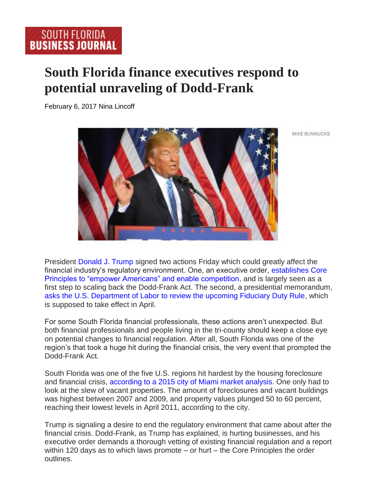## **South Florida finance executives respond to potential unraveling of Dodd-Frank**

February 6, 2017 Nina Lincoff



MIKE SUNNUCKS

President [Donald J. Trump](https://securepubads.g.doubleclick.net/pcs/view?xai=AKAOjssFV1-kN9LeCsKVioNuQDadtmjscuJKDXOtajQyJwYVIzlJyYtWS9HfnMfD9Y9I03OF0-YpxNmg_eBmutKUCrek09w2mahqDbH-VtHTrNJv85q27k2GtiRnBpDE9_HMEhAwLr0jzqsNgkXcAYd28zjsApQkE3vJPSwgnQXMxnAv5sF1lKeNCud0fKG6siUvF_QT1KOqyZBDxm5zCD0WJC1QK2HC0rH1jaGJC-uz7m3BEMyt7-2f1q7_xn5MzeFNoBJjRqbBL6Iha4ooGFI6YIVJuQ&sig=Cg0ArKJSzIKjtBLeeZQQEAE&urlfix=1&adurl=https://tpc.googlesyndication.com/pagead/imgad?id=CICAgKDLq-WYCxABGAEyCMyp4Igf0JpU&t=10&cT=http%3A//bizjournals.com&l=http%3A//www.bizjournals.com/southflorida/search/results%3Fq%3DDonald%20J.%20Trump) signed two actions Friday which could greatly affect the financial industry's regulatory environment. One, an executive order, [establishes Core](https://www.whitehouse.gov/the-press-office/2017/02/03/presidential-executive-order-core-principles-regulating-united-states)  Principles to "empower [Americans" and enable competition,](https://www.whitehouse.gov/the-press-office/2017/02/03/presidential-executive-order-core-principles-regulating-united-states) and is largely seen as a first step to scaling back the Dodd-Frank Act. The second, a presidential memorandum, [asks the U.S. Department of Labor to review the upcoming Fiduciary Duty Rule,](https://www.whitehouse.gov/the-press-office/2017/02/03/presidential-memorandum-fiduciary-duty-rule) which is supposed to take effect in April.

For some South Florida financial professionals, these actions aren't unexpected. But both financial professionals and people living in the tri-county should keep a close eye on potential changes to financial regulation. After all, South Florida was one of the region's that took a huge hit during the financial crisis, the very event that prompted the Dodd-Frank Act.

South Florida was one of the five U.S. regions hit hardest by the housing foreclosure and financial crisis, [according to a 2015 city of Miami market analysis.](http://www.miamigov.com/communitydevelopment/Docs/Reports/MarketAnalysis12714DRAFT.pdf) One only had to look at the slew of vacant properties. The amount of foreclosures and vacant buildings was highest between 2007 and 2009, and property values plunged 50 to 60 percent, reaching their lowest levels in April 2011, according to the city.

Trump is signaling a desire to end the regulatory environment that came about after the financial crisis. Dodd-Frank, as Trump has explained, is hurting businesses, and his executive order demands a thorough vetting of existing financial regulation and a report within 120 days as to which laws promote – or hurt – the Core Principles the order outlines.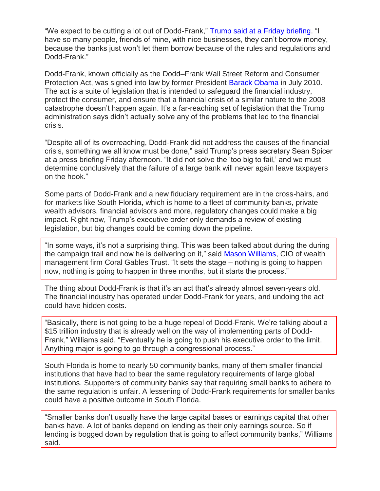"We expect to be cutting a lot out of Dodd-Frank," [Trump said at a Friday briefing.](https://www.theatlantic.com/business/archive/2017/02/trump-dodd-frank/515646/) "I have so many people, friends of mine, with nice businesses, they can't borrow money, because the banks just won't let them borrow because of the rules and regulations and Dodd-Frank."

Dodd-Frank, known officially as the Dodd–Frank Wall Street Reform and Consumer Protection Act, was signed into law by former President [Barack Obama](https://securepubads.g.doubleclick.net/pcs/view?xai=AKAOjssFV1-kN9LeCsKVioNuQDadtmjscuJKDXOtajQyJwYVIzlJyYtWS9HfnMfD9Y9I03OF0-YpxNmg_eBmutKUCrek09w2mahqDbH-VtHTrNJv85q27k2GtiRnBpDE9_HMEhAwLr0jzqsNgkXcAYd28zjsApQkE3vJPSwgnQXMxnAv5sF1lKeNCud0fKG6siUvF_QT1KOqyZBDxm5zCD0WJC1QK2HC0rH1jaGJC-uz7m3BEMyt7-2f1q7_xn5MzeFNoBJjRqbBL6Iha4ooGFI6YIVJuQ&sig=Cg0ArKJSzIKjtBLeeZQQEAE&urlfix=1&adurl=https://tpc.googlesyndication.com/pagead/imgad?id=CICAgKDLq-WYCxABGAEyCMyp4Igf0JpU&t=10&cT=http%3A//bizjournals.com&l=http%3A//www.bizjournals.com/southflorida/search/results%3Fq%3DBarack%20Obama) in July 2010. The act is a suite of legislation that is intended to safeguard the financial industry, protect the consumer, and ensure that a financial crisis of a similar nature to the 2008 catastrophe doesn't happen again. It's a far-reaching set of legislation that the Trump administration says didn't actually solve any of the problems that led to the financial crisis.

"Despite all of its overreaching, Dodd-Frank did not address the causes of the financial crisis, something we all know must be done," said Trump's press secretary Sean Spicer at a press briefing Friday afternoon. "It did not solve the 'too big to fail,' and we must determine conclusively that the failure of a large bank will never again leave taxpayers on the hook."

Some parts of Dodd-Frank and a new fiduciary requirement are in the cross-hairs, and for markets like South Florida, which is home to a fleet of community banks, private wealth advisors, financial advisors and more, regulatory changes could make a big impact. Right now, Trump's executive order only demands a review of existing legislation, but big changes could be coming down the pipeline.

"In some ways, it's not a surprising thing. This was been talked about during the during the campaign trail and now he is delivering on it," said [Mason Williams,](https://securepubads.g.doubleclick.net/pcs/view?xai=AKAOjssFV1-kN9LeCsKVioNuQDadtmjscuJKDXOtajQyJwYVIzlJyYtWS9HfnMfD9Y9I03OF0-YpxNmg_eBmutKUCrek09w2mahqDbH-VtHTrNJv85q27k2GtiRnBpDE9_HMEhAwLr0jzqsNgkXcAYd28zjsApQkE3vJPSwgnQXMxnAv5sF1lKeNCud0fKG6siUvF_QT1KOqyZBDxm5zCD0WJC1QK2HC0rH1jaGJC-uz7m3BEMyt7-2f1q7_xn5MzeFNoBJjRqbBL6Iha4ooGFI6YIVJuQ&sig=Cg0ArKJSzIKjtBLeeZQQEAE&urlfix=1&adurl=https://tpc.googlesyndication.com/pagead/imgad?id=CICAgKDLq-WYCxABGAEyCMyp4Igf0JpU&t=10&cT=http%3A//bizjournals.com&l=http%3A//www.bizjournals.com/southflorida/search/results%3Fq%3DMason%20Williams) CIO of wealth management firm Coral Gables Trust. "It sets the stage – nothing is going to happen now, nothing is going to happen in three months, but it starts the process."

The thing about Dodd-Frank is that it's an act that's already almost seven-years old. The financial industry has operated under Dodd-Frank for years, and undoing the act could have hidden costs.

"Basically, there is not going to be a huge repeal of Dodd-Frank. We're talking about a \$15 trillion industry that is already well on the way of implementing parts of Dodd-Frank," Williams said. "Eventually he is going to push his executive order to the limit. Anything major is going to go through a congressional process."

South Florida is home to nearly 50 community banks, many of them smaller financial institutions that have had to bear the same regulatory requirements of large global institutions. Supporters of community banks say that requiring small banks to adhere to the same regulation is unfair. A lessening of Dodd-Frank requirements for smaller banks could have a positive outcome in South Florida.

"Smaller banks don't usually have the large capital bases or earnings capital that other banks have. A lot of banks depend on lending as their only earnings source. So if lending is bogged down by regulation that is going to affect community banks," Williams said.